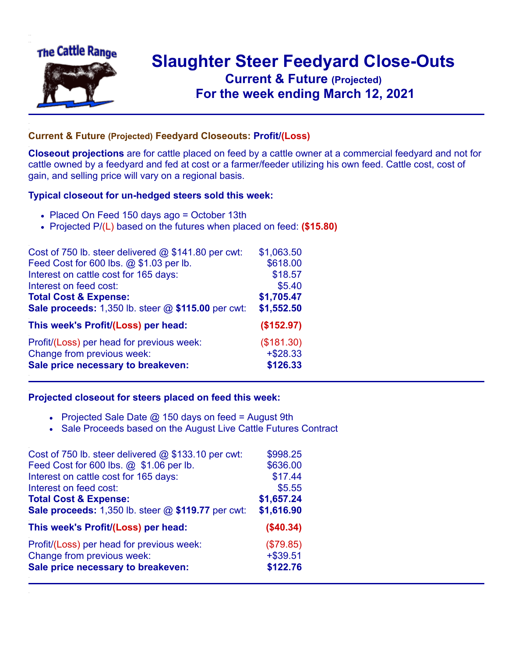

## **Slaughter Steer Feedyard Close-Outs Current & Future (Projected)** .**For the week ending March 12, 2021**

## **Current & Future (Projected) Feedyard Closeouts: Profit/(Loss)**

**Closeout projections** are for cattle placed on feed by a cattle owner at a commercial feedyard and not for cattle owned by a feedyard and fed at cost or a farmer/feeder utilizing his own feed. Cattle cost, cost of gain, and selling price will vary on a regional basis.

## **Typical closeout for un-hedged steers sold this week:**

- Placed On Feed 150 days ago = October 13th
- Projected P/(L) based on the futures when placed on feed: **(\$15.80)**

| Cost of 750 lb. steer delivered $@$ \$141.80 per cwt: | \$1,063.50  |
|-------------------------------------------------------|-------------|
| Feed Cost for 600 lbs. @ \$1.03 per lb.               | \$618.00    |
| Interest on cattle cost for 165 days:                 | \$18.57     |
| Interest on feed cost:                                | \$5.40      |
| <b>Total Cost &amp; Expense:</b>                      | \$1,705.47  |
| Sale proceeds: 1,350 lb. steer @ \$115.00 per cwt:    | \$1,552.50  |
| This week's Profit/(Loss) per head:                   | (\$152.97)  |
| Profit/(Loss) per head for previous week:             | (\$181.30)  |
| Change from previous week:                            | $+$ \$28.33 |
| Sale price necessary to breakeven:                    | \$126.33    |

## **Projected closeout for steers placed on feed this week:**

- Projected Sale Date  $@$  150 days on feed = August 9th
- Sale Proceeds based on the August Live Cattle Futures Contract

| Cost of 750 lb. steer delivered $@$ \$133.10 per cwt: | \$998.25    |
|-------------------------------------------------------|-------------|
| Feed Cost for 600 lbs. @ \$1.06 per lb.               | \$636.00    |
| Interest on cattle cost for 165 days:                 | \$17.44     |
| Interest on feed cost:                                | \$5.55      |
| <b>Total Cost &amp; Expense:</b>                      | \$1,657.24  |
| Sale proceeds: 1,350 lb. steer @ \$119.77 per cwt:    | \$1,616.90  |
| This week's Profit/(Loss) per head:                   | (\$40.34)   |
| Profit/(Loss) per head for previous week:             | (\$79.85)   |
| Change from previous week:                            | $+$ \$39.51 |
| Sale price necessary to breakeven:                    | \$122.76    |